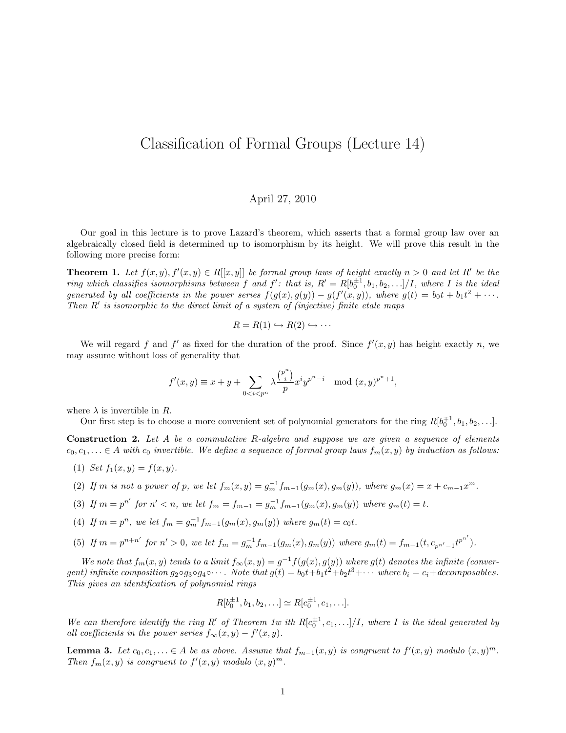## Classification of Formal Groups (Lecture 14)

## April 27, 2010

Our goal in this lecture is to prove Lazard's theorem, which asserts that a formal group law over an algebraically closed field is determined up to isomorphism by its height. We will prove this result in the following more precise form:

**Theorem 1.** Let  $f(x, y), f'(x, y) \in R[[x, y]]$  be formal group laws of height exactly  $n > 0$  and let R' be the ring which classifies isomorphisms between f and  $f'$ : that is,  $R' = R[b_0^{\pm 1}, b_1, b_2, \ldots]/I$ , where I is the ideal generated by all coefficients in the power series  $f(g(x), g(y)) - g(f'(x, y))$ , where  $g(t) = b_0 t + b_1 t^2 + \cdots$ . Then  $R'$  is isomorphic to the direct limit of a system of (injective) finite etale maps

$$
R = R(1) \hookrightarrow R(2) \hookrightarrow \cdots
$$

We will regard f and f' as fixed for the duration of the proof. Since  $f'(x, y)$  has height exactly n, we may assume without loss of generality that

$$
f'(x, y) \equiv x + y + \sum_{0 < i < p^n} \lambda \frac{\binom{p^n}{i}}{p} x^i y^{p^n - i} \mod (x, y)^{p^n + 1},
$$

where  $\lambda$  is invertible in R.

Our first step is to choose a more convenient set of polynomial generators for the ring  $R[b_0^{\pm 1}, b_1, b_2,...]$ .

**Construction 2.** Let  $A$  be a commutative  $R$ -algebra and suppose we are given a sequence of elements  $c_0, c_1, \ldots \in A$  with  $c_0$  invertible. We define a sequence of formal group laws  $f_m(x, y)$  by induction as follows:

- (1) Set  $f_1(x, y) = f(x, y)$ .
- (2) If m is not a power of p, we let  $f_m(x, y) = g_m^{-1} f_{m-1}(g_m(x), g_m(y))$ , where  $g_m(x) = x + c_{m-1} x^m$ .
- (3) If  $m = p^{n'}$  for  $n' < n$ , we let  $f_m = f_{m-1} = g_m^{-1} f_{m-1}(g_m(x), g_m(y))$  where  $g_m(t) = t$ .
- (4) If  $m = p^n$ , we let  $f_m = g_m^{-1} f_{m-1}(g_m(x), g_m(y))$  where  $g_m(t) = c_0 t$ .
- (5) If  $m = p^{n+n'}$  for  $n' > 0$ , we let  $f_m = g_m^{-1} f_{m-1}(g_m(x), g_m(y))$  where  $g_m(t) = f_{m-1}(t, c_{p^{n'}-1} t^{p^{n'}})$ .

We note that  $f_m(x, y)$  tends to a limit  $f_{\infty}(x, y) = g^{-1}f(g(x), g(y))$  where  $g(t)$  denotes the infinite (convergent) infinite composition  $g_2 \circ g_3 \circ g_4 \circ \cdots$ . Note that  $g(t) = b_0 t + b_1 t^2 + b_2 t^3 + \cdots$  where  $b_i = c_i + decomposable$ . This gives an identification of polynomial rings

$$
R[b_0^{\pm 1}, b_1, b_2, \ldots] \simeq R[c_0^{\pm 1}, c_1, \ldots].
$$

We can therefore identify the ring R' of Theorem 1w ith  $R[c_0^{\pm 1}, c_1, \ldots]/I$ , where I is the ideal generated by all coefficients in the power series  $f_{\infty}(x, y) - f'(x, y)$ .

**Lemma 3.** Let  $c_0, c_1, \ldots \in A$  be as above. Assume that  $f_{m-1}(x, y)$  is congruent to  $f'(x, y)$  modulo  $(x, y)^m$ . Then  $f_m(x, y)$  is congruent to  $f'(x, y)$  modulo  $(x, y)^m$ .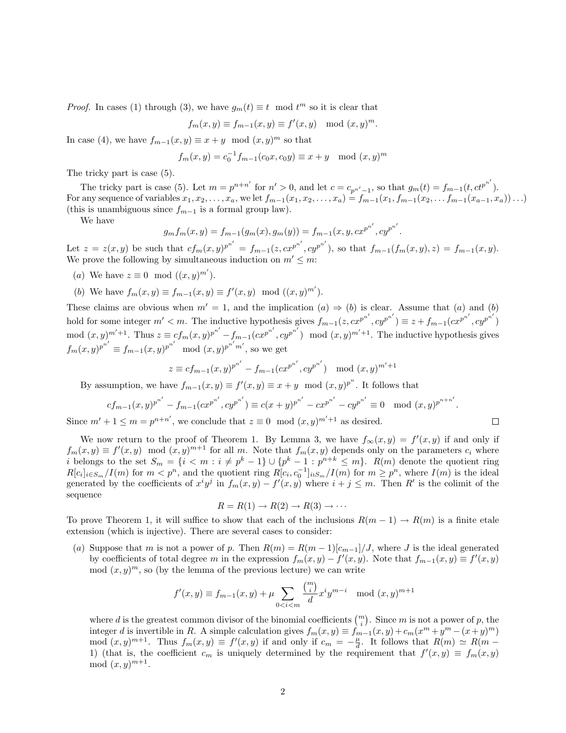*Proof.* In cases (1) through (3), we have  $g_m(t) \equiv t \mod t^m$  so it is clear that

$$
f_m(x, y) \equiv f_{m-1}(x, y) \equiv f'(x, y) \mod (x, y)^m.
$$

In case (4), we have  $f_{m-1}(x, y) \equiv x + y \mod (x, y)^m$  so that

$$
f_m(x, y) = c_0^{-1} f_{m-1}(c_0 x, c_0 y) \equiv x + y \mod (x, y)^m
$$

The tricky part is case (5).

The tricky part is case (5). Let  $m = p^{n+n'}$  for  $n' > 0$ , and let  $c = c_{p^{n'}-1}$ , so that  $g_m(t) = f_{m-1}(t, ct^{p^{n'}})$ . For any sequence of variables  $x_1, x_2, \ldots, x_a$ , we let  $f_{m-1}(x_1, x_2, \ldots, x_a) = f_{m-1}(x_1, f_{m-1}(x_2, \ldots, f_{m-1}(x_{a-1}, x_a)) \ldots)$ (this is unambiguous since  $f_{m-1}$  is a formal group law).

We have

$$
g_m f_m(x, y) = f_{m-1}(g_m(x), g_m(y)) = f_{m-1}(x, y, cx^{p^{n'}}, cy^{p^{n'}}).
$$

Let  $z = z(x, y)$  be such that  $cf_m(x, y)^{p^{n'}} = f_{m-1}(z, cx^{p^{n'}}, cy^{p^{n'}})$ , so that  $f_{m-1}(f_m(x, y), z) = f_{m-1}(x, y)$ . We prove the following by simultaneous induction on  $m' \leq m$ :

- (a) We have  $z \equiv 0 \mod ((x, y)^{m'})$ .
- (b) We have  $f_m(x, y) \equiv f_{m-1}(x, y) \equiv f'(x, y) \mod ((x, y)^{m'})$ .

These claims are obvious when  $m' = 1$ , and the implication  $(a) \Rightarrow (b)$  is clear. Assume that  $(a)$  and  $(b)$ hold for some integer  $m' < m$ . The inductive hypothesis gives  $f_{m-1}(z, cx^{p^{n'}}, cy^{p^{n'}}) \equiv z + f_{m-1}(cx^{p^{n'}}, cy^{p^{n'}})$ mod  $(x, y)^{m'+1}$ . Thus  $z \equiv cf_m(x, y)^{p^{n'}} - f_{m-1}(cx^{p^{n'}}, cy^{p^{n'}}) \mod (x, y)^{m'+1}$ . The inductive hypothesis gives  $f_m(x, y)^{p^{n'}} \equiv f_{m-1}(x, y)^{p^{n'}} \mod (x, y)^{p^{n'}m'}$ , so we get

$$
z \equiv cf_{m-1}(x,y)^{p^{n'}} - f_{m-1}(cx^{p^{n'}}, cy^{p^{n'}}) \mod (x,y)^{m'+1}
$$

By assumption, we have  $f_{m-1}(x, y) \equiv f'(x, y) \equiv x + y \mod (x, y)^{p^n}$ . It follows that

$$
cf_{m-1}(x,y)^{p^{n'}} - f_{m-1}(cx^{p^{n'}}, cy^{p^{n'}}) \equiv c(x+y)^{p^{n'}} - cx^{p^{n'}} - cy^{p^{n'}} \equiv 0 \mod (x,y)^{p^{n+n'}}.
$$

 $\Box$ 

Since  $m' + 1 \leq m = p^n$  $n+n'$ , we conclude that  $z \equiv 0 \mod (x, y)$ as desired.

We now return to the proof of Theorem 1. By Lemma 3, we have  $f_{\infty}(x, y) = f'(x, y)$  if and only if  $f_m(x,y) \equiv f'(x,y) \mod (x,y)^{m+1}$  for all m. Note that  $f_m(x,y)$  depends only on the parameters  $c_i$  where *i* belongs to the set  $S_m = \{i \leq m : i \neq p^k - 1\} \cup \{p^k - 1 : p^{n+k} \leq m\}$ .  $R(m)$  denote the quotient ring  $R[c_i]_{i \in S_m}/I(m)$  for  $m < p^n$ , and the quotient ring  $R[c_i, c_0^{-1}]_{i \in S_m}/I(m)$  for  $m \ge p^n$ , where  $I(m)$  is the ideal generated by the coefficients of  $x^i y^j$  in  $f_m(x, y) - f'(x, y)$  where  $i + j \leq m$ . Then R' is the colimit of the sequence

$$
R = R(1) \rightarrow R(2) \rightarrow R(3) \rightarrow \cdots
$$

To prove Theorem 1, it will suffice to show that each of the inclusions  $R(m-1) \to R(m)$  is a finite etale extension (which is injective). There are several cases to consider:

(a) Suppose that m is not a power of p. Then  $R(m) = R(m-1)[c_{m-1}]/J$ , where J is the ideal generated by coefficients of total degree m in the expression  $f_m(x, y) - f'(x, y)$ . Note that  $f_{m-1}(x, y) \equiv f'(x, y)$  $\mod (x, y)^m$ , so (by the lemma of the previous lecture) we can write

$$
f'(x, y) \equiv f_{m-1}(x, y) + \mu \sum_{0 < i < m} \frac{\binom{m}{i}}{d} x^i y^{m-i} \mod (x, y)^{m+1}
$$

where d is the greatest common divisor of the binomial coefficients  $\binom{m}{i}$ . Since m is not a power of p, the integer d is invertible in R. A simple calculation gives  $f_m(x,y) \equiv \hat{f}_{m-1}(x,y) + c_m(x^m + y^m - (x+y)^m)$ mod  $(x, y)^{m+1}$ . Thus  $f_m(x, y) \equiv f'(x, y)$  if and only if  $c_m = -\frac{\mu}{d}$ . It follows that  $R(m) \simeq R(m -$ 1) (that is, the coefficient  $c_m$  is uniquely determined by the requirement that  $f'(x, y) \equiv f_m(x, y)$ mod  $(x, y)^{m+1}$ .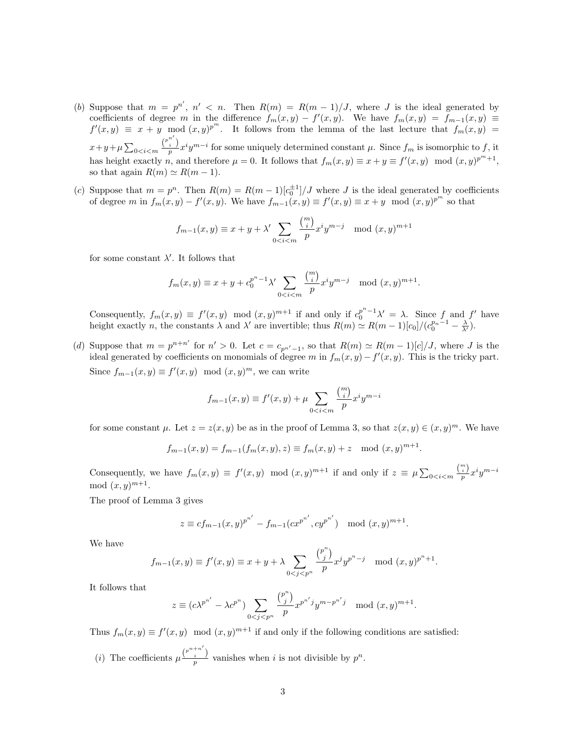- (b) Suppose that  $m = p^{n'}$ ,  $n' < n$ . Then  $R(m) = R(m-1)/J$ , where J is the ideal generated by coefficients of degree m in the difference  $f_m(x,y) - f'(x,y)$ . We have  $f_m(x,y) = f_{m-1}(x,y) \equiv$  $f'(x,y) \equiv x + y \mod (x,y)^{p^m}$ . It follows from the lemma of the last lecture that  $f_m(x,y)$  $x+y+\mu\sum_{0}\frac{\binom{p^{n'}}{i}}{p}x^{i}y^{m-i}$  for some uniquely determined constant  $\mu$ . Since  $f_m$  is isomorphic to f, it has height exactly n, and therefore  $\mu = 0$ . It follows that  $f_m(x, y) \equiv x + y \equiv f'(x, y) \mod (x, y)^{p^m + 1}$ , so that again  $R(m) \simeq R(m - 1)$ .
- (c) Suppose that  $m = p^n$ . Then  $R(m) = R(m-1)[c_0^{\pm 1}]/J$  where J is the ideal generated by coefficients of degree m in  $f_m(x, y) - f'(x, y)$ . We have  $f_{m-1}(x, y) \equiv f'(x, y) \equiv x + y \mod (x, y)^{p^m}$  so that

$$
f_{m-1}(x,y) \equiv x+y+\lambda' \sum_{0
$$

for some constant  $\lambda'$ . It follows that

$$
f_m(x, y) \equiv x + y + c_0^{p^n - 1} \lambda' \sum_{0 < i < m} \frac{\binom{m}{i}}{p} x^i y^{m - j} \mod (x, y)^{m + 1}.
$$

Consequently,  $f_m(x,y) \equiv f'(x,y) \mod (x,y)^{m+1}$  if and only if  $c_0^{p^n-1}\lambda' = \lambda$ . Since f and f' have height exactly *n*, the constants  $\lambda$  and  $\lambda'$  are invertible; thus  $R(m) \simeq R(m-1)[c_0]/(c_0^{p_n-1} - \frac{\lambda}{\lambda'})$ .

(d) Suppose that  $m = p^{n+n'}$  for  $n' > 0$ . Let  $c = c_{p^{n'}-1}$ , so that  $R(m) \simeq R(m-1)[c]/J$ , where J is the ideal generated by coefficients on monomials of degree m in  $f_m(x, y) - f'(x, y)$ . This is the tricky part. Since  $f_{m-1}(x, y) \equiv f'(x, y) \mod (x, y)^m$ , we can write

$$
f_{m-1}(x, y) \equiv f'(x, y) + \mu \sum_{0 < i < m} \frac{\binom{m}{i}}{p} x^i y^{m-i}
$$

for some constant  $\mu$ . Let  $z = z(x, y)$  be as in the proof of Lemma 3, so that  $z(x, y) \in (x, y)^m$ . We have

$$
f_{m-1}(x, y) = f_{m-1}(f_m(x, y), z) \equiv f_m(x, y) + z \mod (x, y)^{m+1}
$$

.

Consequently, we have  $f_m(x, y) \equiv f'(x, y) \mod (x, y)^{m+1}$  if and only if  $z \equiv \mu \sum_{0 \le i \le m} \frac{\binom{m}{i}}{p} x^i y^{m-i}$ mod  $(x, y)^{m+1}$ .

The proof of Lemma 3 gives

$$
z \equiv cf_{m-1}(x,y)^{p^{n'}} - f_{m-1}(cx^{p^{n'}}, cy^{p^{n'}}) \mod (x,y)^{m+1}.
$$

We have

$$
f_{m-1}(x, y) \equiv f'(x, y) \equiv x + y + \lambda \sum_{0 < j < p^n} \frac{\binom{p^n}{j}}{p} x^j y^{p^n - j} \mod (x, y)^{p^n + 1}.
$$

It follows that

$$
z \equiv (c\lambda^{p^{n'}} - \lambda c^{p^n}) \sum_{0 < j < p^n} \frac{\binom{p^n}{j}}{p} x^{p^{n'}} y^{m-p^{n'}} j \mod (x, y)^{m+1}.
$$

Thus  $f_m(x, y) \equiv f'(x, y) \mod (x, y)^{m+1}$  if and only if the following conditions are satisfied:

(*i*) The coefficients  $\mu \frac{\binom{p^{n+n'}}{i}}{p}$  vanishes when *i* is not divisible by  $p^n$ .